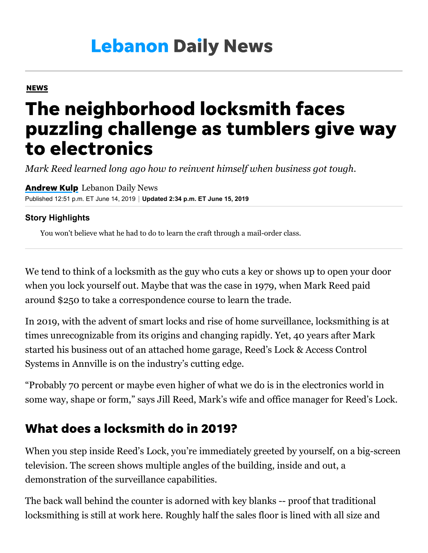# **Lebanon Daily News**

#### **NEWS**

## The neighborhood locksmith faces puzzling challenge as tumblers give way to electronics

*Mark Reed learned long ago how to reinvent himself when business got tough.*

**Andrew Kulp** Lebanon Daily News

Published 12:51 p.m. ET June 14, 2019 **Updated 2:34 p.m. ET June 15, 2019**

#### **Story Highlights**

You won't believe what he had to do to learn the craft through a mail-order class.

We tend to think of a locksmith as the guy who cuts a key or shows up to open your door when you lock yourself out. Maybe that was the case in 1979, when Mark Reed paid around \$250 to take a correspondence course to learn the trade.

In 2019, with the advent of smart locks and rise of home surveillance, locksmithing is at times unrecognizable from its origins and changing rapidly. Yet, 40 years after Mark started his business out of an attached home garage, Reed's Lock & Access Control Systems in Annville is on the industry's cutting edge.

"Probably 70 percent or maybe even higher of what we do is in the electronics world in some way, shape or form," says Jill Reed, Mark's wife and office manager for Reed's Lock.

#### What does a locksmith do in 2019?

When you step inside Reed's Lock, you're immediately greeted by yourself, on a big-screen television. The screen shows multiple angles of the building, inside and out, a demonstration of the surveillance capabilities.

The back wall behind the counter is adorned with key blanks -- proof that traditional locksmithing is still at work here. Roughly half the sales floor is lined with all size and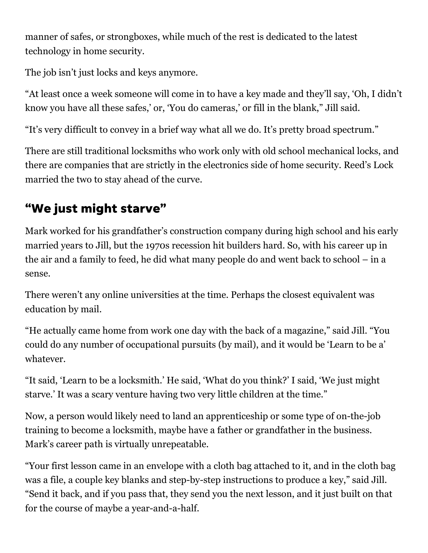manner of safes, or strongboxes, while much of the rest is dedicated to the latest technology in home security.

The job isn't just locks and keys anymore.

"At least once a week someone will come in to have a key made and they'll say, 'Oh, I didn't know you have all these safes,' or, 'You do cameras,' or fill in the blank," Jill said.

"It's very difficult to convey in a brief way what all we do. It's pretty broad spectrum."

There are still traditional locksmiths who work only with old school mechanical locks, and there are companies that are strictly in the electronics side of home security. Reed's Lock married the two to stay ahead of the curve.

#### "We just might starve"

Mark worked for his grandfather's construction company during high school and his early married years to Jill, but the 1970s recession hit builders hard. So, with his career up in the air and a family to feed, he did what many people do and went back to school – in a sense.

There weren't any online universities at the time. Perhaps the closest equivalent was education by mail.

"He actually came home from work one day with the back of a magazine," said Jill. "You could do any number of occupational pursuits (by mail), and it would be 'Learn to be a' whatever.

"It said, 'Learn to be a locksmith.' He said, 'What do you think?' I said, 'We just might starve.' It was a scary venture having two very little children at the time."

Now, a person would likely need to land an apprenticeship or some type of on-the-job training to become a locksmith, maybe have a father or grandfather in the business. Mark's career path is virtually unrepeatable.

"Your first lesson came in an envelope with a cloth bag attached to it, and in the cloth bag was a file, a couple key blanks and step-by-step instructions to produce a key," said Jill. "Send it back, and if you pass that, they send you the next lesson, and it just built on that for the course of maybe a year-and-a-half.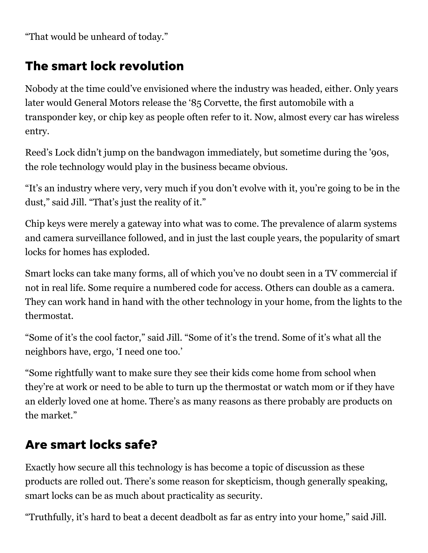"That would be unheard of today."

#### The smart lock revolution

Nobody at the time could've envisioned where the industry was headed, either. Only years later would General Motors release the '85 Corvette, the first automobile with a transponder key, or chip key as people often refer to it. Now, almost every car has wireless entry.

Reed's Lock didn't jump on the bandwagon immediately, but sometime during the '90s, the role technology would play in the business became obvious.

"It's an industry where very, very much if you don't evolve with it, you're going to be in the dust," said Jill. "That's just the reality of it."

Chip keys were merely a gateway into what was to come. The prevalence of alarm systems and camera surveillance followed, and in just the last couple years, the popularity of smart locks for homes has exploded.

Smart locks can take many forms, all of which you've no doubt seen in a TV commercial if not in real life. Some require a numbered code for access. Others can double as a camera. They can work hand in hand with the other technology in your home, from the lights to the thermostat.

"Some of it's the cool factor," said Jill. "Some of it's the trend. Some of it's what all the neighbors have, ergo, 'I need one too.'

"Some rightfully want to make sure they see their kids come home from school when they're at work or need to be able to turn up the thermostat or watch mom or if they have an elderly loved one at home. There's as many reasons as there probably are products on the market."

#### Are smart locks safe?

Exactly how secure all this technology is has become a topic of discussion as these products are rolled out. There's some reason for skepticism, though generally speaking, smart locks can be as much about practicality as security.

"Truthfully, it's hard to beat a decent deadbolt as far as entry into your home," said Jill.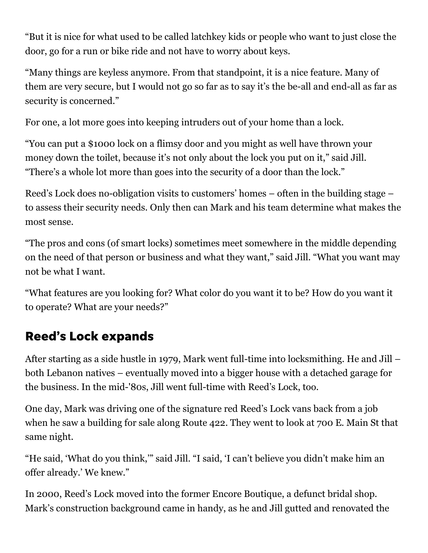"But it is nice for what used to be called latchkey kids or people who want to just close the door, go for a run or bike ride and not have to worry about keys.

"Many things are keyless anymore. From that standpoint, it is a nice feature. Many of them are very secure, but I would not go so far as to say it's the be-all and end-all as far as security is concerned."

For one, a lot more goes into keeping intruders out of your home than a lock.

"You can put a \$1000 lock on a flimsy door and you might as well have thrown your money down the toilet, because it's not only about the lock you put on it," said Jill. "There's a whole lot more than goes into the security of a door than the lock."

Reed's Lock does no-obligation visits to customers' homes – often in the building stage – to assess their security needs. Only then can Mark and his team determine what makes the most sense.

"The pros and cons (of smart locks) sometimes meet somewhere in the middle depending on the need of that person or business and what they want," said Jill. "What you want may not be what I want.

"What features are you looking for? What color do you want it to be? How do you want it to operate? What are your needs?"

### **Reed's Lock expands**

After starting as a side hustle in 1979, Mark went full-time into locksmithing. He and Jill – both Lebanon natives – eventually moved into a bigger house with a detached garage for the business. In the mid-'80s, Jill went full-time with Reed's Lock, too.

One day, Mark was driving one of the signature red Reed's Lock vans back from a job when he saw a building for sale along Route 422. They went to look at 700 E. Main St that same night.

"He said, 'What do you think,'" said Jill. "I said, 'I can't believe you didn't make him an offer already.' We knew."

In 2000, Reed's Lock moved into the former Encore Boutique, a defunct bridal shop. Mark's construction background came in handy, as he and Jill gutted and renovated the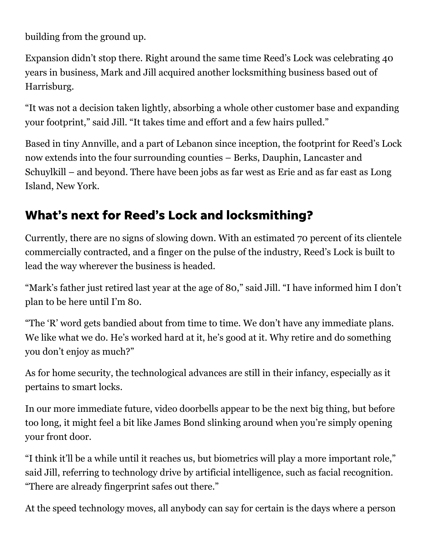building from the ground up.

Expansion didn't stop there. Right around the same time Reed's Lock was celebrating 40 years in business, Mark and Jill acquired another locksmithing business based out of Harrisburg.

"It was not a decision taken lightly, absorbing a whole other customer base and expanding your footprint," said Jill. "It takes time and effort and a few hairs pulled."

Based in tiny Annville, and a part of Lebanon since inception, the footprint for Reed's Lock now extends into the four surrounding counties – Berks, Dauphin, Lancaster and Schuylkill – and beyond. There have been jobs as far west as Erie and as far east as Long Island, New York.

### **What's next for Reed's Lock and locksmithing?**

Currently, there are no signs of slowing down. With an estimated 70 percent of its clientele commercially contracted, and a finger on the pulse of the industry, Reed's Lock is built to lead the way wherever the business is headed.

"Mark's father just retired last year at the age of 80," said Jill. "I have informed him I don't plan to be here until I'm 80.

"The 'R' word gets bandied about from time to time. We don't have any immediate plans. We like what we do. He's worked hard at it, he's good at it. Why retire and do something you don't enjoy as much?"

As for home security, the technological advances are still in their infancy, especially as it pertains to smart locks.

In our more immediate future, video doorbells appear to be the next big thing, but before too long, it might feel a bit like James Bond slinking around when you're simply opening your front door.

"I think it'll be a while until it reaches us, but biometrics will play a more important role," said Jill, referring to technology drive by artificial intelligence, such as facial recognition. "There are already fingerprint safes out there."

At the speed technology moves, all anybody can say for certain is the days where a person